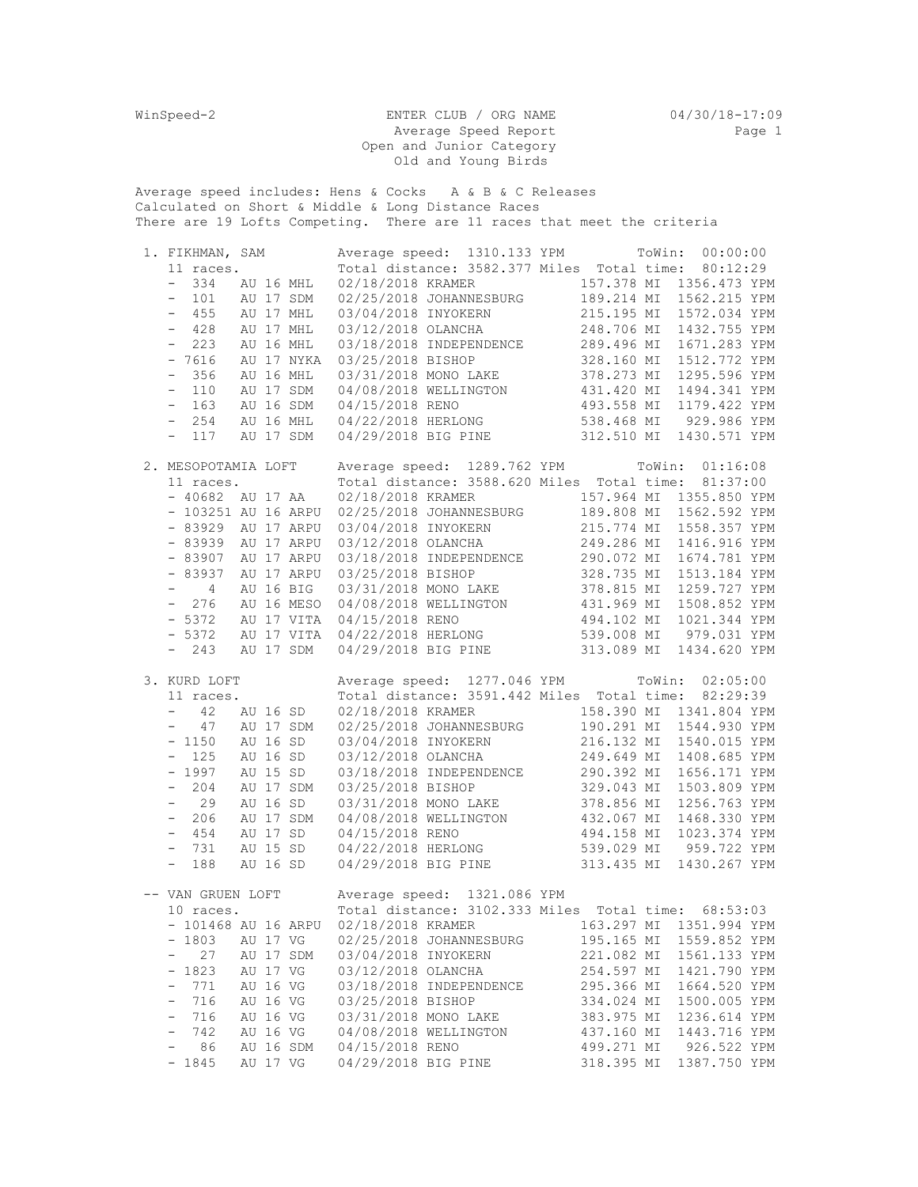WinSpeed-2 ENTER CLUB / ORG NAME 04/30/18-17:09 Average Speed Report and the Page 1 Open and Junior Category Old and Young Birds

Average speed includes: Hens & Cocks A & B & C Releases Calculated on Short & Middle & Long Distance Races There are 19 Lofts Competing. There are 11 races that meet the criteria

| 1. FIKHMAN, SAM           |            |            | Average speed: 1310.133 YPM ToWin: 00:00:00                                                                                                                                                                                                        |                          |                                        |  |
|---------------------------|------------|------------|----------------------------------------------------------------------------------------------------------------------------------------------------------------------------------------------------------------------------------------------------|--------------------------|----------------------------------------|--|
| 11 races.                 |            |            | Total distance: 3582.377 Miles Total time: 80:12:29                                                                                                                                                                                                |                          |                                        |  |
| $-334$ AU 16 MHL          |            |            |                                                                                                                                                                                                                                                    |                          |                                        |  |
| $-$ 101 AU 17 SDM         |            |            | 02/18/2018 KRAMER 157.378 MI 1356.473 YPM<br>02/25/2018 JOHANNESBURG 189.214 MI 1562.215 YPM                                                                                                                                                       |                          |                                        |  |
| $-455$                    | AU 17 MHL  |            | 03/04/2018 INYOKERN                                                                                                                                                                                                                                | 215.195 MI               | 1572.034 YPM                           |  |
| $-428$                    | AU 17 MHL  |            |                                                                                                                                                                                                                                                    |                          |                                        |  |
| $-223$                    | AU 16 MHL  |            |                                                                                                                                                                                                                                                    |                          |                                        |  |
| $-7616$                   |            | AU 17 NYKA |                                                                                                                                                                                                                                                    |                          |                                        |  |
| $-356$                    | AU 16 MHL  |            |                                                                                                                                                                                                                                                    |                          |                                        |  |
| $-110$                    | AU 17 SDM  |            |                                                                                                                                                                                                                                                    |                          |                                        |  |
| $-163$                    | AU 16 SDM  |            |                                                                                                                                                                                                                                                    |                          |                                        |  |
| $-254$                    | AU 16 MHL  |            |                                                                                                                                                                                                                                                    |                          |                                        |  |
|                           |            |            |                                                                                                                                                                                                                                                    |                          |                                        |  |
| $-117$                    |            | AU 17 SDM  | 03/12/2018 OLANCHA<br>03/12/2018 OLANCHA<br>03/18/2018 INDEPENDENCE<br>03/25/2018 BISHOP<br>03/31/2018 MONO LAKE<br>04/08/2018 WELLINGTON<br>04/15/2018 RENO<br>04/22/2018 HERLONG<br>04/29/2018 BIG PINE<br>04/29/2018 BIG PINE<br>04/29/2018 BIG |                          |                                        |  |
| 2. MESOPOTAMIA LOFT       |            |            | Average speed: 1289.762 YPM ToWin: 01:16:08                                                                                                                                                                                                        |                          |                                        |  |
| 11 races.                 |            |            | Total distance: 3588.620 Miles Total time: 81:37:00                                                                                                                                                                                                |                          |                                        |  |
| $-40682$ AU 17 AA         |            |            | 02/18/2018 KRAMER 157.964 MI 1355.850 YPM                                                                                                                                                                                                          |                          |                                        |  |
| - 103251 AU 16 ARPU       |            |            | 02/25/2018 JOHANNESBURG 189.808 MI                                                                                                                                                                                                                 |                          | 1562.592 YPM                           |  |
|                           |            |            |                                                                                                                                                                                                                                                    |                          |                                        |  |
| - 83929 AU 17 ARPU        |            |            |                                                                                                                                                                                                                                                    |                          |                                        |  |
| - 83939 AU 17 ARPU        |            |            |                                                                                                                                                                                                                                                    |                          |                                        |  |
| $-83907$                  | AU 17 ARPU |            |                                                                                                                                                                                                                                                    |                          |                                        |  |
| $-83937$                  | AU 17 ARPU |            |                                                                                                                                                                                                                                                    |                          |                                        |  |
| $-4$                      | AU 16 BIG  |            |                                                                                                                                                                                                                                                    |                          |                                        |  |
| $-276$                    | AU 16 MESO |            |                                                                                                                                                                                                                                                    |                          |                                        |  |
| $-5372$                   |            | AU 17 VITA |                                                                                                                                                                                                                                                    |                          |                                        |  |
| $-5372$                   |            | AU 17 VITA |                                                                                                                                                                                                                                                    |                          |                                        |  |
| $-243$                    |            | AU 17 SDM  | 03/04/2018 JOHANNESBURG<br>03/04/2018 INYOKERN<br>03/12/2018 OLANCHA<br>03/12/2018 OLANCHA<br>03/18/2018 INDEPENDENCE<br>03/25/2018 ISHOP<br>03/31/2018 MONO LAKE<br>03/31/2018 MONO LAKE<br>04/08/2018 WELLINGTON<br>04/15/2018 RENO<br>04/15/201 |                          |                                        |  |
|                           |            |            |                                                                                                                                                                                                                                                    |                          |                                        |  |
| 3. KURD LOFT              |            |            | Average speed: 1277.046 YPM ToWin: 02:05:00                                                                                                                                                                                                        |                          |                                        |  |
| 11 races.                 |            |            | Total distance: 3591.442 Miles Total time: 82:29:39                                                                                                                                                                                                |                          |                                        |  |
| $-42$                     | AU 16 SD   |            | 02/18/2018 KRAMER                                                                                                                                                                                                                                  |                          | 158.390 MI 1341.804 YPM                |  |
| $-47$                     | AU 17 SDM  |            | 02/25/2018 JOHANNESBURG 190.291 MI 1544.930 YPM                                                                                                                                                                                                    |                          |                                        |  |
| $-1150$                   | AU 16 SD   |            |                                                                                                                                                                                                                                                    |                          | 1540.015 YPM                           |  |
| $-125$                    | AU 16 SD   |            |                                                                                                                                                                                                                                                    |                          |                                        |  |
|                           |            |            |                                                                                                                                                                                                                                                    |                          | 1408.685 YPM                           |  |
| $-1997$                   | AU 15 SD   |            |                                                                                                                                                                                                                                                    |                          | 1656.171 YPM                           |  |
| $-204$                    | AU 17 SDM  |            |                                                                                                                                                                                                                                                    |                          | 1503.809 YPM                           |  |
| $- 29$                    | AU 16 SD   |            |                                                                                                                                                                                                                                                    |                          | 1256.763 YPM                           |  |
| $-206$                    | AU 17 SDM  |            | 03/04/2018 INYOKERN 216.132 MI<br>03/12/2018 OLANCHA 249.649 MI<br>03/18/2018 INDEPENDENCE 290.392 MI<br>03/25/2018 BISHOP 329.043 MI<br>03/31/2018 MONO LAKE 378.856 MI                                                                           |                          | 1468.330 YPM                           |  |
| $-454$                    |            |            | 04/08/2018 WELLINGTON 432.067 MI                                                                                                                                                                                                                   |                          |                                        |  |
| $-731$                    |            | AU 17 SD   |                                                                                                                                                                                                                                                    |                          | 1023.374 YPM                           |  |
| $- 188$                   | AU 15 SD   |            | 04/15/2018 RENO<br>04/22/2018 HERLONG 494.158 MI<br>04/22/2018 HERLONG 539.029 MT<br>04/29/2018 BIG PINE 313.435 MI                                                                                                                                |                          | 539.029 MI 959.722 YPM<br>1430.267 YPM |  |
|                           |            | AU 16 SD   |                                                                                                                                                                                                                                                    |                          |                                        |  |
|                           |            |            | -- VAN GRUEN LOFT Average speed: 1321.086 YPM                                                                                                                                                                                                      |                          |                                        |  |
| 10 races.                 |            |            | Total distance: 3102.333 Miles Total time: 68:53:03                                                                                                                                                                                                |                          |                                        |  |
| 101468 AU 16 ARPU         |            |            | 02/18/2018 KRAMER                                                                                                                                                                                                                                  | 163.297 MI               | 1351.994 YPM                           |  |
| 1803                      | AU 17 VG   |            | 02/25/2018 JOHANNESBURG                                                                                                                                                                                                                            | 195.165 MI               | 1559.852 YPM                           |  |
| 27<br>$\qquad \qquad -$   | AU 17 SDM  |            | 03/04/2018 INYOKERN                                                                                                                                                                                                                                | 221.082 MI               | 1561.133 YPM                           |  |
| 1823<br>$\qquad \qquad =$ | AU 17 VG   |            | 03/12/2018 OLANCHA                                                                                                                                                                                                                                 | 254.597 MI               | 1421.790 YPM                           |  |
| 771<br>-                  | AU 16 VG   |            | 03/18/2018 INDEPENDENCE                                                                                                                                                                                                                            |                          | 1664.520 YPM                           |  |
| 716<br>$\qquad \qquad -$  | AU 16 VG   |            | 03/25/2018 BISHOP                                                                                                                                                                                                                                  | 295.366 MI               | 1500.005 YPM                           |  |
| 716<br>$\qquad \qquad -$  | AU 16 VG   |            |                                                                                                                                                                                                                                                    | 334.024 MI<br>383.975 MI | 1236.614 YPM                           |  |
| 742<br>$\qquad \qquad -$  | AU 16 VG   |            | 03/31/2018 MONO LAKE<br>04/08/2018 WELLINGTON                                                                                                                                                                                                      | 437.160 MI               | 1443.716 YPM                           |  |

- 1845 AU 17 VG 04/29/2018 BIG PINE 318.395 MI 1387.750 YPM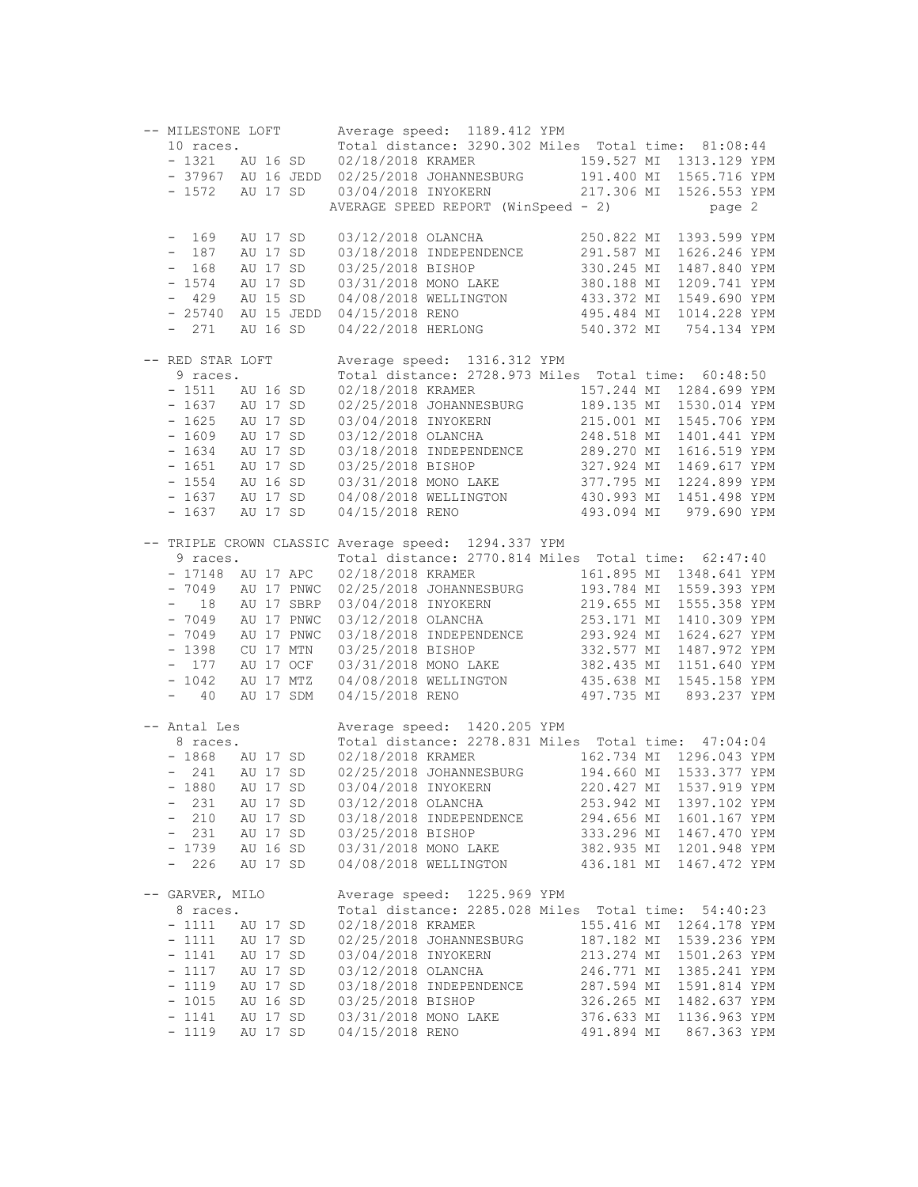| -- MILESTONE LOFT           |                      |                          | Average speed: 1189.412 YPM                                                                                                              |  |                          |                              |  |
|-----------------------------|----------------------|--------------------------|------------------------------------------------------------------------------------------------------------------------------------------|--|--------------------------|------------------------------|--|
| 10 races.                   |                      |                          | Total distance: 3290.302 Miles Total time: 81:08:44                                                                                      |  |                          |                              |  |
|                             |                      |                          | - 1321 AU 16 SD 02/18/2018 KRAMER                                                                                                        |  |                          | 159.527 MI 1313.129 YPM      |  |
|                             |                      |                          | - 37967 AU 16 JEDD 02/25/2018 JOHANNESBURG 191.400 MI 1565.716 YPM                                                                       |  |                          |                              |  |
| - 1572 AU 17 SD             |                      |                          | 03/04/2018 INYOKERN                                                                                                                      |  |                          | 217.306 MI 1526.553 YPM      |  |
|                             |                      |                          | AVERAGE SPEED REPORT (WinSpeed - 2)                                                                                                      |  |                          | page 2                       |  |
| $-169$                      | AU 17 SD             |                          | 03/12/2018 OLANCHA                                                                                                                       |  | 250.822 MI               | 1393.599 YPM                 |  |
| $-187$                      | AU 17 SD             |                          | 03/18/2018 INDEPENDENCE                                                                                                                  |  | 291.587 MI               | 1626.246 YPM                 |  |
| $-168$                      | AU 17 SD             |                          | 03/25/2018 BISHOP                                                                                                                        |  | 330.245 MI               | 1487.840 YPM                 |  |
| $-1574$                     | AU 17 SD             |                          |                                                                                                                                          |  |                          |                              |  |
| $-429$                      | AU 15 SD             |                          |                                                                                                                                          |  |                          |                              |  |
| $-25740$                    |                      | AU 15 JEDD               | 03/31/2018 MONO LAKE 380.188 MI 1209.741 YPM<br>04/08/2018 WELLINGTON 433.372 MI 1549.690 YPM<br>04/15/2018 RENO 495.484 MI 1014.228 YPM |  |                          |                              |  |
| $-271$                      | AU 16 SD             |                          | 04/22/2018 HERLONG                                                                                                                       |  |                          | 540.372 MI 754.134 YPM       |  |
| -- RED STAR LOFT            |                      |                          | Average speed: 1316.312 YPM                                                                                                              |  |                          |                              |  |
| 9 races.                    |                      |                          | Total distance: 2728.973 Miles Total time: 60:48:50                                                                                      |  |                          |                              |  |
| $-1511$ AU 16 SD            |                      |                          | 02/18/2018 KRAMER 157.244 MI 1284.699 YPM<br>02/25/2018 JOHANNESBURG 189.135 MI 1530.014 YPM                                             |  |                          |                              |  |
| - 1637 AU 17 SD             |                      |                          |                                                                                                                                          |  |                          |                              |  |
| $-1625$                     | AU 17 SD             |                          | 03/04/2018 INYOKERN                                                                                                                      |  | 215.001 MI               | 1545.706 YPM                 |  |
| $-1609$                     | AU 17 SD             |                          | 03/12/2018 OLANCHA<br>03/18/2018 INDEPENDENCE<br>03/25/2018 BISHOP<br>03/25/2018 BISHOP<br>327.924 MI                                    |  |                          | 1401.441 YPM                 |  |
| $-1634$                     | AU 17 SD             |                          |                                                                                                                                          |  |                          | 1616.519 YPM                 |  |
| $-1651$                     | AU 17 SD             |                          |                                                                                                                                          |  |                          | 1469.617 YPM                 |  |
| $-1554$                     | AU 16 SD             |                          |                                                                                                                                          |  |                          |                              |  |
| $-1637$ AU 17 SD<br>$-1637$ | AU 17 SD             |                          | 03/31/2018 MONO LAKE 377.795 MI 1224.899 YPM<br>04/08/2018 WELLINGTON 430.993 MI 1451.498 YPM<br>04/15/2018 RENO 493.094 MI 979.690 YPM  |  |                          |                              |  |
|                             |                      |                          |                                                                                                                                          |  |                          |                              |  |
|                             |                      |                          | -- TRIPLE CROWN CLASSIC Average speed: 1294.337 YPM                                                                                      |  |                          |                              |  |
| 9 races.                    |                      |                          | Total distance: 2770.814 Miles Total time: 62:47:40                                                                                      |  |                          |                              |  |
| - 17148 AU 17 APC           |                      |                          | 02/18/2018 KRAMER                                                                                                                        |  |                          | 161.895 MI 1348.641 YPM      |  |
| - 7049 AU 17 PNWC           |                      |                          | 02/25/2018 JOHANNESBURG 193.784 MI 1559.393 YPM<br>03/04/2018 INYOKERN 219.655 MI 1555.358 YPM                                           |  |                          |                              |  |
| $-18$<br>$-7049$            |                      | AU 17 SBRP<br>AU 17 PNWC |                                                                                                                                          |  | 253.171 MI               | 1410.309 YPM                 |  |
| $-7049$                     |                      | AU 17 PNWC               | 03/12/2018 OLANCHA                                                                                                                       |  |                          |                              |  |
| $-1398$                     |                      | CU 17 MTN                |                                                                                                                                          |  |                          |                              |  |
| $-177$                      |                      | AU 17 OCF                | 03/18/2018 INDEPENDENCE<br>03/25/2018 BISHOP 332.577 MI 1487.972 YPM<br>03/31/2018 MONO LAKE 382.435 MI 1151.640 YPM                     |  |                          |                              |  |
| $-1042$                     |                      |                          | AU 17 MTZ 04/08/2018 WELLINGTON 435.638 MI 1545.158 YPM                                                                                  |  |                          |                              |  |
| $\sim$ 100 $\pm$<br>40      |                      | AU 17 SDM                | 04/15/2018 RENO                                                                                                                          |  |                          | 497.735 MI 893.237 YPM       |  |
| -- Antal Les                |                      |                          | Average speed: 1420.205 YPM                                                                                                              |  |                          |                              |  |
| 8 races.                    |                      |                          | Total distance: 2278.831 Miles Total time: 47:04:04                                                                                      |  |                          |                              |  |
| - 1868 AU 17 SD             |                      |                          | 02/18/2018 KRAMER                                                                                                                        |  |                          | 162.734 MI 1296.043 YPM      |  |
| $-241$                      | AU 17 SD             |                          | 02/25/2018 JOHANNESBURG 194.660 MI                                                                                                       |  |                          | 1533.377 YPM                 |  |
| $-1880$                     | AU 17 SD             |                          | 03/04/2018 INYOKERN                                                                                                                      |  | 220.427 MI               | 1537.919 YPM                 |  |
| 231                         | AU 17 SD             |                          | 03/12/2018 OLANCHA                                                                                                                       |  | 253.942 MI               | 1397.102 YPM                 |  |
| 210<br>$-$                  |                      | AU 17 SD                 | 03/18/2018 INDEPENDENCE                                                                                                                  |  | 294.656 MI               | 1601.167 YPM                 |  |
| 231<br>$-$                  | AU 17 SD             |                          | 03/25/2018 BISHOP                                                                                                                        |  | 333.296 MI               | 1467.470 YPM                 |  |
| $-1739$                     |                      | AU 16 SD                 | 03/31/2018 MONO LAKE                                                                                                                     |  |                          | 382.935 MI 1201.948 YPM      |  |
| $-226$                      | AU 17 SD             |                          | 04/08/2018 WELLINGTON                                                                                                                    |  | 436.181 MI               | 1467.472 YPM                 |  |
| -- GARVER, MILO             |                      |                          | Average speed: 1225.969 YPM                                                                                                              |  |                          |                              |  |
| 8 races.                    |                      |                          | Total distance: 2285.028 Miles Total time: 54:40:23                                                                                      |  |                          |                              |  |
| $-1111$                     | AU 17 SD             |                          | 02/18/2018 KRAMER                                                                                                                        |  |                          | 155.416 MI 1264.178 YPM      |  |
| $-1111$                     | AU 17 SD             |                          | 02/25/2018 JOHANNESBURG                                                                                                                  |  |                          | 187.182 MI 1539.236 YPM      |  |
| $-1141$                     | AU 17 SD             |                          | 03/04/2018 INYOKERN                                                                                                                      |  | 213.274 MI               | 1501.263 YPM                 |  |
| $-1117$                     | AU 17 SD             |                          | 03/12/2018 OLANCHA                                                                                                                       |  | 246.771 MI               | 1385.241 YPM                 |  |
| $-1119$                     | AU 17 SD             |                          | 03/18/2018 INDEPENDENCE                                                                                                                  |  | 287.594 MI               | 1591.814 YPM                 |  |
| $-1015$<br>$-1141$          | AU 16 SD<br>AU 17 SD |                          | 03/25/2018 BISHOP<br>03/31/2018 MONO LAKE                                                                                                |  | 326.265 MI<br>376.633 MI | 1482.637 YPM<br>1136.963 YPM |  |
| $-1119$                     | AU 17 SD             |                          | 04/15/2018 RENO                                                                                                                          |  | 491.894 MI               | 867.363 YPM                  |  |
|                             |                      |                          |                                                                                                                                          |  |                          |                              |  |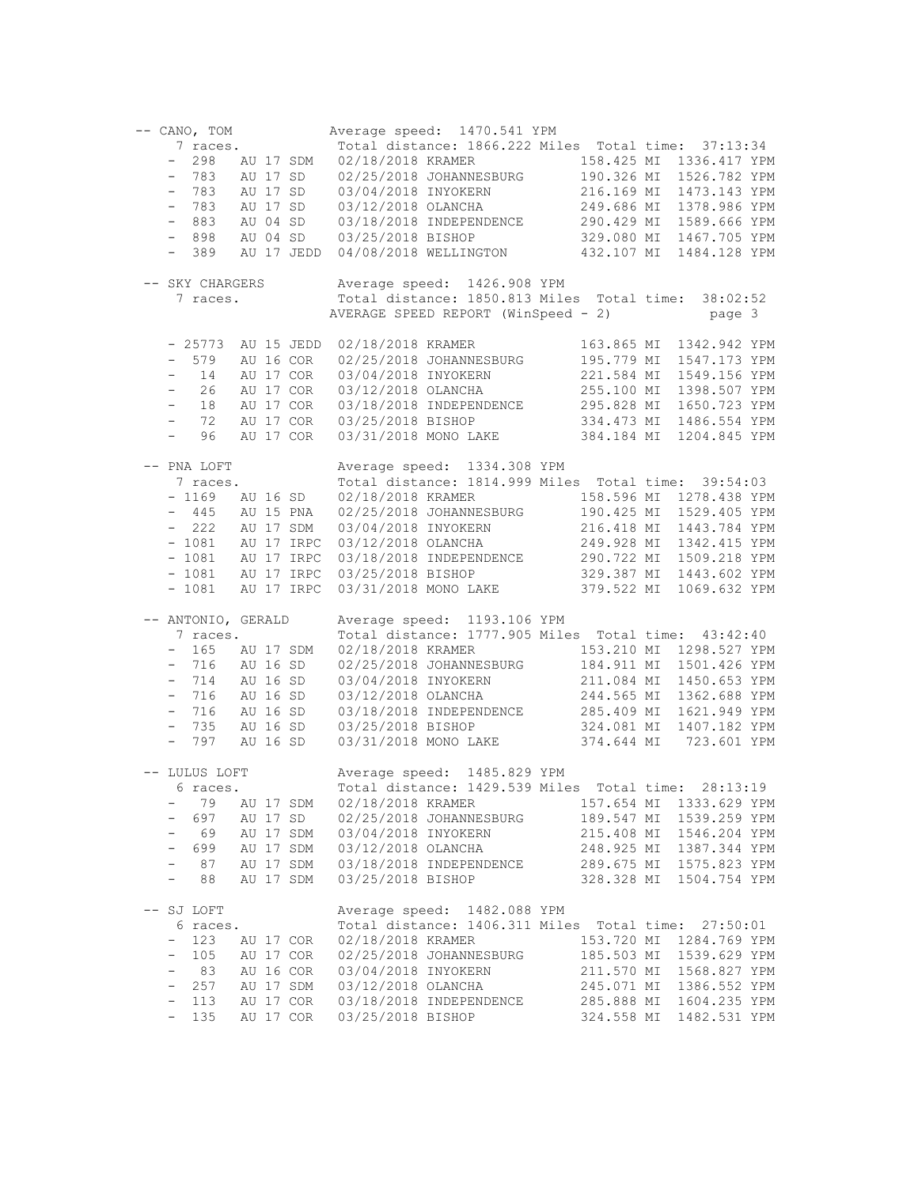| -- CANO, TOM                    |          |            |                     | Average speed: 1470.541 YPM                                                                                   |            |                         |
|---------------------------------|----------|------------|---------------------|---------------------------------------------------------------------------------------------------------------|------------|-------------------------|
| 7 races.                        |          |            |                     | Total distance: 1866.222 Miles Total time: 37:13:34                                                           |            |                         |
| - 298 AU 17 SDM                 |          |            | 02/18/2018 KRAMER   |                                                                                                               |            | 158.425 MI 1336.417 YPM |
| - 783 AU 17 SD                  |          |            |                     |                                                                                                               |            | 1526.782 YPM            |
| $-783$                          |          | AU 17 SD   |                     | 02/18/2018 KRAMER 158.425 MI<br>02/25/2018 JOHANNESBURG 190.326 MI<br>03/04/2018 INYOKERN 216.169 MI          |            | 1473.143 YPM            |
| 783<br>$\equiv$                 |          | AU 17 SD   |                     | 03/12/2018 OLANCHA<br>03/18/2018 INDEPENDENCE<br>03/25/2018 BISHOP 329.080 MI<br>03/25/2018 BISHOP 329.080 MI |            | 1378.986 YPM            |
| $-883$                          |          | AU 04 SD   |                     |                                                                                                               |            | 1589.666 YPM            |
| $-898$                          |          | AU 04 SD   |                     |                                                                                                               |            | 1467.705 YPM            |
| $-389$                          |          | AU 17 JEDD |                     | 04/08/2018 WELLINGTON 432.107 MI                                                                              |            | 1484.128 YPM            |
|                                 |          |            |                     |                                                                                                               |            |                         |
| -- SKY CHARGERS                 |          |            |                     | Average speed: 1426.908 YPM                                                                                   |            |                         |
| 7 races.                        |          |            |                     | Total distance: 1850.813 Miles Total time: 38:02:52                                                           |            |                         |
|                                 |          |            |                     | AVERAGE SPEED REPORT (WinSpeed - 2)                                                                           |            | page 3                  |
|                                 |          |            |                     |                                                                                                               |            |                         |
| - 25773 AU 15 JEDD              |          |            |                     | 02/18/2018 KRAMER                                                                                             | 163.865 MI | 1342.942 YPM            |
| $-579$                          |          | AU 16 COR  |                     |                                                                                                               |            | 1547.173 YPM            |
| 14<br>$-$                       |          | AU 17 COR  |                     | 02/25/2018 JOHANNESSERN<br>03/04/2018 INYOKERN 221.564 ML<br>(2010 OLANCHA 255.100 MI                         |            | 1549.156 YPM            |
| 26<br>$ \,$                     |          | AU 17 COR  |                     |                                                                                                               |            | 1398.507 YPM            |
| 18<br>$\equiv$                  |          | AU 17 COR  |                     | 03/18/2018 INDEPENDENCE 295.828 MI                                                                            |            | 1650.723 YPM            |
| 72<br>$-$                       |          | AU 17 COR  |                     |                                                                                                               | 334.473 MI | 1486.554 YPM            |
| 96<br>$\sim$                    |          | AU 17 COR  |                     | 03/25/2018 BISHOP<br>03/31/2018 MONO LAKE                                                                     | 384.184 MI | 1204.845 YPM            |
|                                 |          |            |                     |                                                                                                               |            |                         |
| -- PNA LOFT                     |          |            |                     | Average speed: 1334.308 YPM                                                                                   |            |                         |
| 7 races.                        |          |            |                     | Total distance: 1814.999 Miles Total time: 39:54:03                                                           |            |                         |
| $-1169$                         |          | AU 16 SD   | 02/18/2018 KRAMER   |                                                                                                               |            | 158.596 MI 1278.438 YPM |
| $-445$                          |          | AU 15 PNA  |                     | 02/25/2018 JOHANNESBURG 190.425 MI                                                                            |            | 1529.405 YPM            |
| $-222$                          |          | AU 17 SDM  |                     |                                                                                                               |            | 1443.784 YPM            |
| $-1081$                         |          | AU 17 IRPC |                     | 03/04/2018 INYOKERN 216.418 MI<br>03/12/2018 OLANCHA 249.928 MI                                               |            | 1342.415 YPM            |
| $-1081$                         |          | AU 17 IRPC |                     |                                                                                                               |            | 1509.218 YPM            |
| $-1081$                         |          | AU 17 IRPC |                     |                                                                                                               |            | 1443.602 YPM            |
| $-1081$                         |          | AU 17 IRPC |                     | 03/18/2018 INDEPENDENCE<br>03/25/2018 BISHOP 329.387 MI<br>03/31/2018 MONO LAKE 379.522 MI                    |            | 1069.632 YPM            |
|                                 |          |            |                     |                                                                                                               |            |                         |
| -- ANTONIO, GERALD              |          |            |                     | Average speed: 1193.106 YPM                                                                                   |            |                         |
| 7 races.                        |          |            |                     | Total distance: 1777.905 Miles Total time: 43:42:40                                                           |            |                         |
| $-165$                          |          | AU 17 SDM  | 02/18/2018 KRAMER   |                                                                                                               |            | 153.210 MI 1298.527 YPM |
| $-716$                          | AU 16 SD |            |                     | 02/25/2018 JOHANNESBURG 184.911 MI                                                                            |            | 1501.426 YPM            |
| 714 AU 16 SD<br>$ \,$           |          |            |                     |                                                                                                               |            | 1450.653 YPM            |
| 716<br>$ \,$                    | AU 16 SD |            |                     |                                                                                                               |            | 1362.688 YPM            |
| 716<br>$ \,$                    |          | AU 16 SD   |                     | 02/23/2018 INYOKERN 211.084 MI<br>03/12/2018 OLANCHA 244.565 MI<br>03/18/2018 INDEPENDENCE 285.409 MI         |            | 1621.949 YPM            |
| 735<br>$-$                      |          | AU 16 SD   |                     |                                                                                                               | 324.081 MI | 1407.182 YPM            |
| $-797$                          |          | AU 16 SD   |                     | 03/25/2018 BISHOP<br>03/31/2018 MONO LAKE                                                                     |            | 374.644 MI 723.601 YPM  |
|                                 |          |            |                     |                                                                                                               |            |                         |
| -- LULUS LOFT                   |          |            |                     | Average speed: 1485.829 YPM                                                                                   |            |                         |
| 6 races.                        |          |            |                     | Total distance: 1429.539 Miles Total time: 28:13:19                                                           |            |                         |
| 79<br>-                         |          | AU 17 SDM  | 02/18/2018 KRAMER   |                                                                                                               | 157.654 MI | 1333.629 YPM            |
| 697<br>$\qquad \qquad -$        |          | AU 17 SD   |                     | 02/25/2018 JOHANNESBURG                                                                                       | 189.547 MI | 1539.259 YPM            |
| 69<br>$\overline{\phantom{a}}$  |          | AU 17 SDM  | 03/04/2018 INYOKERN |                                                                                                               | 215.408 MI | 1546.204 YPM            |
| 699<br>$\qquad \qquad -$        |          | AU 17 SDM  | 03/12/2018 OLANCHA  |                                                                                                               | 248.925 MI | 1387.344 YPM            |
| 87<br>$\qquad \qquad -$         |          | AU 17 SDM  |                     | 03/18/2018 INDEPENDENCE                                                                                       | 289.675 MI | 1575.823 YPM            |
| 88<br>$\overline{\phantom{0}}$  |          | AU 17 SDM  | 03/25/2018 BISHOP   |                                                                                                               | 328.328 MI | 1504.754 YPM            |
|                                 |          |            |                     |                                                                                                               |            |                         |
| -- SJ LOFT                      |          |            |                     | Average speed: 1482.088 YPM                                                                                   |            |                         |
| 6 races.                        |          |            |                     | Total distance: 1406.311 Miles Total time: 27:50:01                                                           |            |                         |
| 123                             |          | AU 17 COR  | 02/18/2018 KRAMER   |                                                                                                               |            | 153.720 MI 1284.769 YPM |
| 105<br>$-$                      |          | AU 17 COR  |                     | 02/25/2018 JOHANNESBURG                                                                                       | 185.503 MI | 1539.629 YPM            |
| 83<br>$\overline{\phantom{0}}$  |          | AU 16 COR  | 03/04/2018 INYOKERN |                                                                                                               | 211.570 MI | 1568.827 YPM            |
| 257<br>$\qquad \qquad -$        |          | AU 17 SDM  | 03/12/2018 OLANCHA  |                                                                                                               | 245.071 MI | 1386.552 YPM            |
| 113<br>$\qquad \qquad -$        |          | AU 17 COR  |                     | 03/18/2018 INDEPENDENCE                                                                                       | 285.888 MI | 1604.235 YPM            |
| 135<br>$\overline{\phantom{a}}$ |          | AU 17 COR  | 03/25/2018 BISHOP   |                                                                                                               | 324.558 MI | 1482.531 YPM            |
|                                 |          |            |                     |                                                                                                               |            |                         |